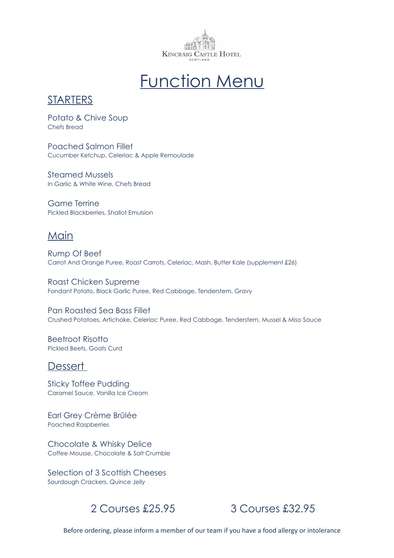

# Function Menu

### **STARTERS**

Potato & Chive Soup Chefs Bread

Poached Salmon Fillet Cucumber Ketchup, Celeriac & Apple Remoulade

Steamed Mussels In Garlic & White Wine, Chefs Bread

Game Terrine Pickled Blackberries, Shallot Emulsion

### **Main**

Rump Of Beef Carrot And Orange Puree, Roast Carrots, Celeriac, Mash, Butter Kale (supplement £26)

Roast Chicken Supreme Fondant Potato, Black Garlic Puree, Red Cabbage, Tenderstem, Gravy

Pan Roasted Sea Bass Fillet Crushed Potatoes, Artichoke, Celeriac Puree, Red Cabbage, Tenderstem, Mussel & Miso Sauce

Beetroot Risotto Pickled Beets, Goats Curd

### **Dessert**

Sticky Toffee Pudding Caramel Sauce, Vanilla Ice Cream

Earl Grey Crème Brûlée Poached Raspberries

Chocolate & Whisky Delice Coffee Mousse, Chocolate & Salt Crumble

Selection of 3 Scottish Cheeses Sourdough Crackers, Quince Jelly



Before ordering, please inform a member of our team if you have a food allergy or intolerance